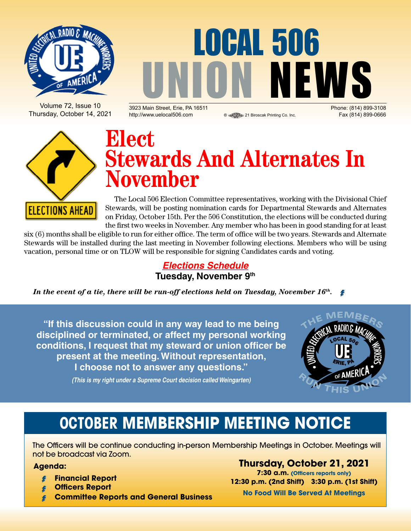

Volume 72, Issue 10 Thursday, October 14, 2021

# LOCAL 506 Phone: (814) 899-3108

3923 Main Street, Erie, PA 16511 http://www.uelocal506.com ® 21 Biroscak Printing Co. Inc. Fax (814) 899-0666



### **Elect Stewards And Alternates In November**

The Local 506 Election Committee representatives, working with the Divisional Chief Stewards, will be posting nomination cards for Departmental Stewards and Alternates on Friday, October 15th. Per the 506 Constitution, the elections will be conducted during the first two weeks in November. Any member who has been in good standing for at least

six (6) months shall be eligible to run for either office. The term of office will be two years. Stewards and Alternate Stewards will be installed during the last meeting in November following elections. Members who will be using vacation, personal time or on TLOW will be responsible for signing Candidates cards and voting.

### *Elections Schedule* **Tuesday, November 9th**

*In the event of a tie, there will be run-off elections held on Tuesday, November 16th.*

**"If this discussion could in any way lead to me being disciplined or terminated, or affect my personal working conditions, I request that my steward or union officer be present at the meeting. Without representation, I choose not to answer any questions."**



*(This is my right under a Supreme Court decision called Weingarten)*

## **OCTOBER Membership Meeting Notice**

The Officers will be continue conducting in-person Membership Meetings in October. Meetings will not be broadcast via Zoom.

### **Agenda:**

- **Financial Report**
- **Officers Report**
- **Committee Reports and General Business**

**Thursday, October 21, 2021 7:30 a.m. (Officers reports only) 12:30 p.m. (2nd Shift) 3:30 p.m. (1st Shift) No Food Will Be Served At Meetings**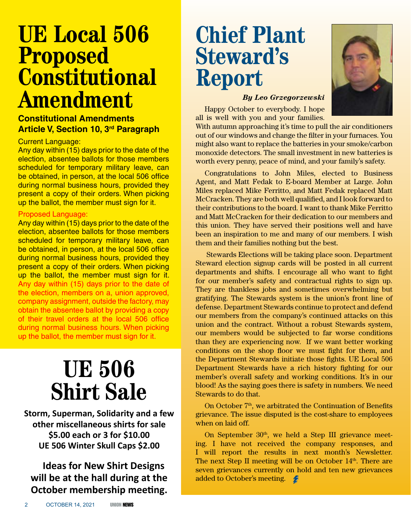## **UE Local 506 Proposed Constitutional Amendment**

### **Constitutional Amendments Article V, Section 10, 3rd Paragraph**

### Current Language:

Any day within (15) days prior to the date of the election, absentee ballots for those members scheduled for temporary military leave, can be obtained, in person, at the local 506 office during normal business hours, provided they present a copy of their orders. When picking up the ballot, the member must sign for it.

### Proposed Language:

Any day within (15) days prior to the date of the election, absentee ballots for those members scheduled for temporary military leave, can be obtained, in person, at the local 506 office during normal business hours, provided they present a copy of their orders. When picking up the ballot, the member must sign for it. Any day within (15) days prior to the date of the election, members on a, union approved, company assignment, outside the factory, may obtain the absentee ballot by providing a copy of their travel orders at the local 506 office during normal business hours. When picking up the ballot, the member must sign for it.

## **UE 506 Shirt Sale**

**Storm, Superman, Solidarity and a few other miscellaneous shirts for sale \$5.00 each or 3 for \$10.00 UE 506 Winter Skull Caps \$2.00**

### **Ideas for New Shirt Designs will be at the hall during at the October membership meeting.**

## **Chief Plant Steward's Report**



*By Leo Grzegorzewski*

Happy October to everybody. I hope all is well with you and your families.

With autumn approaching it's time to pull the air conditioners out of our windows and change the filter in your furnaces. You might also want to replace the batteries in your smoke/carbon monoxide detectors. The small investment in new batteries is worth every penny, peace of mind, and your family's safety.

Congratulations to John Miles, elected to Business Agent, and Matt Fedak to E-board Member at Large. John Miles replaced Mike Ferritto, and Matt Fedak replaced Matt McCracken. They are both well qualified, and I look forward to their contributions to the board. I want to thank Mike Ferritto and Matt McCracken for their dedication to our members and this union. They have served their positions well and have been an inspiration to me and many of our members. I wish them and their families nothing but the best.

 Stewards Elections will be taking place soon. Department Steward election signup cards will be posted in all current departments and shifts. I encourage all who want to fight for our member's safety and contractual rights to sign up. They are thankless jobs and sometimes overwhelming but gratifying. The Stewards system is the union's front line of defense. Department Stewards continue to protect and defend our members from the company's continued attacks on this union and the contract. Without a robust Stewards system, our members would be subjected to far worse conditions than they are experiencing now. If we want better working conditions on the shop floor we must fight for them, and the Department Stewards initiate those fights. UE Local 506 Department Stewards have a rich history fighting for our member's overall safety and working conditions. It's in our blood! As the saying goes there is safety in numbers. We need Stewards to do that.

On October 7<sup>th</sup>, we arbitrated the Continuation of Benefits grievance. The issue disputed is the cost-share to employees when on laid off.

On September  $30<sup>th</sup>$ , we held a Step III grievance meeting. I have not received the company responses, and I will report the results in next month's Newsletter. The next Step II meeting will be on October 14<sup>th</sup>. There are seven grievances currently on hold and ten new grievances added to October's meeting.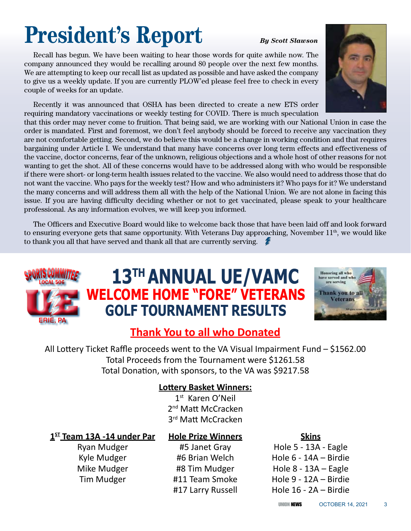## **President's Report** *By Scott Slawson*

Recall has begun. We have been waiting to hear those words for quite awhile now. The company announced they would be recalling around 80 people over the next few months. We are attempting to keep our recall list as updated as possible and have asked the company to give us a weekly update. If you are currently PLOW'ed please feel free to check in every couple of weeks for an update.

Recently it was announced that OSHA has been directed to create a new ETS order requiring mandatory vaccinations or weekly testing for COVID. There is much speculation

that this order may never come to fruition. That being said, we are working with our National Union in case the order is mandated. First and foremost, we don't feel anybody should be forced to receive any vaccination they are not comfortable getting. Second, we do believe this would be a change in working condition and that requires bargaining under Article I. We understand that many have concerns over long term effects and effectiveness of the vaccine, doctor concerns, fear of the unknown, religious objections and a whole host of other reasons for not wanting to get the shot. All of these concerns would have to be addressed along with who would be responsible if there were short- or long-term health issues related to the vaccine. We also would need to address those that do not want the vaccine. Who pays for the weekly test? How and who administers it? Who pays for it? We understand the many concerns and will address them all with the help of the National Union. We are not alone in facing this issue. If you are having difficulty deciding whether or not to get vaccinated, please speak to your healthcare professional. As any information evolves, we will keep you informed.

The Officers and Executive Board would like to welcome back those that have been laid off and look forward to ensuring everyone gets that same opportunity. With Veterans Day approaching, November 11<sup>th</sup>, we would like to thank you all that have served and thank all that are currently serving.



### **13TH ANNUAL UE/VAMC WELCOME HOME "FORE" VETERANS GOLF TOURNAMENT RESULTS**



### **Thank You to all who Donated**

All Lottery Ticket Raffle proceeds went to the VA Visual Impairment Fund – \$1562.00 Total Proceeds from the Tournament were \$1261.58 Total Donation, with sponsors, to the VA was \$9217.58

### **Lottery Basket Winners:**

1<sup>st</sup> Karen O'Neil 2<sup>nd</sup> Matt McCracken 3rd Matt McCracken

### **1ST Team 13A -14 under Par Hole Prize Winners Skins**

Ryan Mudger **#5 Janet Gray** Hole 5 - 13A - Eagle Kyle Mudger **#6 Brian Welch** Hole 6 - 14A – Birdie Mike Mudger **#8 Tim Mudger** Hole 8 - 13A – Eagle Tim Mudger #11 Team Smoke Hole 9 - 12A – Birdie #17 Larry Russell Hole 16 - 2A – Birdie